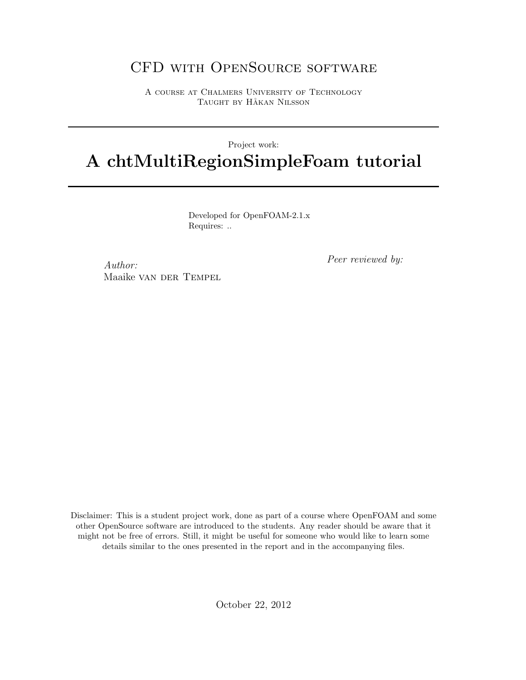# CFD with OpenSource software

A course at Chalmers University of Technology TAUGHT BY HÅKAN NILSSON

#### Project work:

# A chtMultiRegionSimpleFoam tutorial

Developed for OpenFOAM-2.1.x Requires: ..

Author: Maaike van der Tempel Peer reviewed by:

Disclaimer: This is a student project work, done as part of a course where OpenFOAM and some other OpenSource software are introduced to the students. Any reader should be aware that it might not be free of errors. Still, it might be useful for someone who would like to learn some details similar to the ones presented in the report and in the accompanying files.

October 22, 2012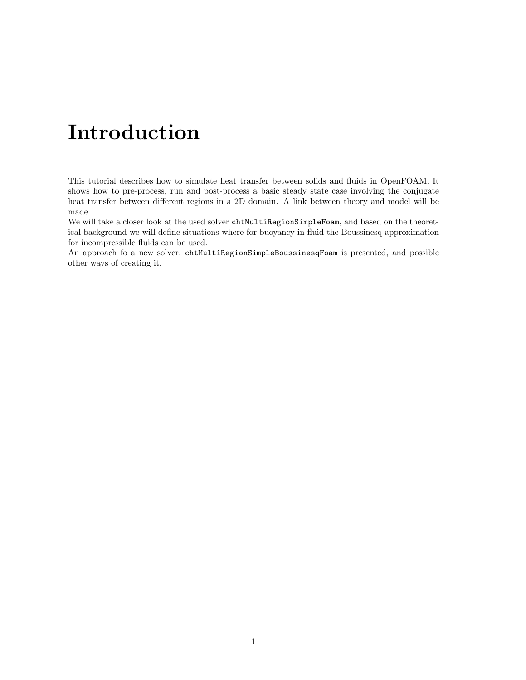# Introduction

This tutorial describes how to simulate heat transfer between solids and fluids in OpenFOAM. It shows how to pre-process, run and post-process a basic steady state case involving the conjugate heat transfer between different regions in a 2D domain. A link between theory and model will be made.

We will take a closer look at the used solver chtMultiRegionSimpleFoam, and based on the theoretical background we will define situations where for buoyancy in fluid the Boussinesq approximation for incompressible fluids can be used.

An approach fo a new solver, chtMultiRegionSimpleBoussinesqFoam is presented, and possible other ways of creating it.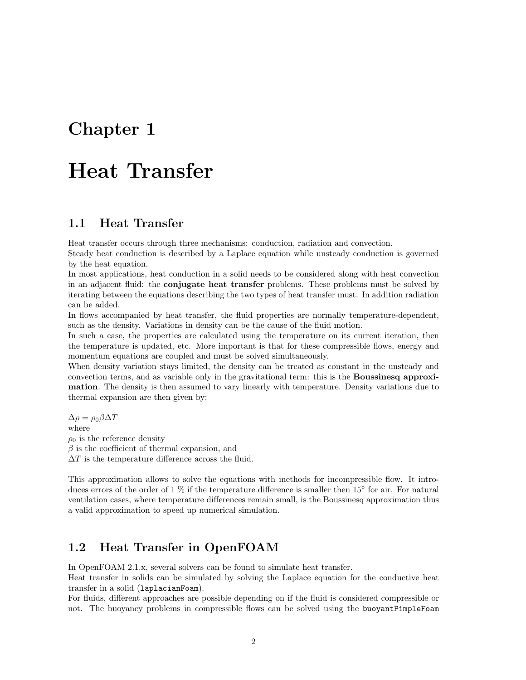# Chapter 1

# Heat Transfer

### 1.1 Heat Transfer

Heat transfer occurs through three mechanisms: conduction, radiation and convection.

Steady heat conduction is described by a Laplace equation while unsteady conduction is governed by the heat equation.

In most applications, heat conduction in a solid needs to be considered along with heat convection in an adjacent fluid: the **conjugate heat transfer** problems. These problems must be solved by iterating between the equations describing the two types of heat transfer must. In addition radiation can be added.

In flows accompanied by heat transfer, the fluid properties are normally temperature-dependent, such as the density. Variations in density can be the cause of the fluid motion.

In such a case, the properties are calculated using the temperature on its current iteration, then the temperature is updated, etc. More important is that for these compressible flows, energy and momentum equations are coupled and must be solved simultaneously.

When density variation stays limited, the density can be treated as constant in the unsteady and convection terms, and as variable only in the gravitational term: this is the Boussinesq approximation. The density is then assumed to vary linearly with temperature. Density variations due to thermal expansion are then given by:

 $\Delta \rho = \rho_0 \beta \Delta T$ where  $\rho_0$  is the reference density  $\beta$  is the coefficient of thermal expansion, and  $\Delta T$  is the temperature difference across the fluid.

This approximation allows to solve the equations with methods for incompressible flow. It introduces errors of the order of 1 % if the temperature difference is smaller then 15◦ for air. For natural ventilation cases, where temperature differences remain small, is the Boussinesq approximation thus a valid approximation to speed up numerical simulation.

### 1.2 Heat Transfer in OpenFOAM

In OpenFOAM 2.1.x, several solvers can be found to simulate heat transfer.

Heat transfer in solids can be simulated by solving the Laplace equation for the conductive heat transfer in a solid (laplacianFoam).

For fluids, different approaches are possible depending on if the fluid is considered compressible or not. The buoyancy problems in compressible flows can be solved using the buoyantPimpleFoam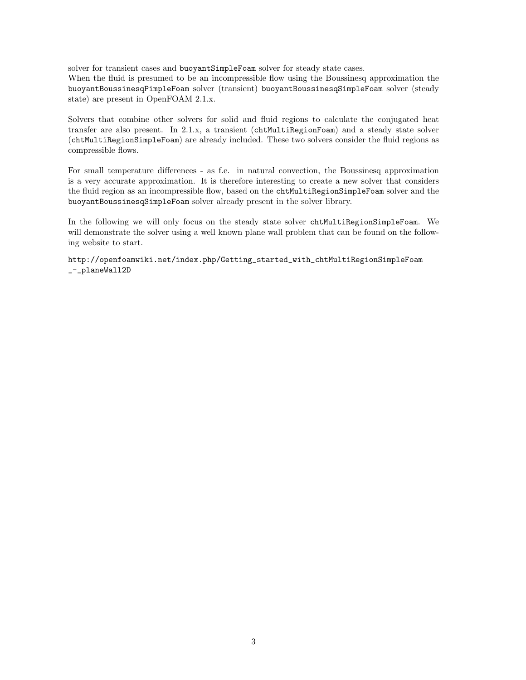solver for transient cases and buoyantSimpleFoam solver for steady state cases.

When the fluid is presumed to be an incompressible flow using the Boussinesq approximation the buoyantBoussinesqPimpleFoam solver (transient) buoyantBoussinesqSimpleFoam solver (steady state) are present in OpenFOAM 2.1.x.

Solvers that combine other solvers for solid and fluid regions to calculate the conjugated heat transfer are also present. In 2.1.x, a transient (chtMultiRegionFoam) and a steady state solver (chtMultiRegionSimpleFoam) are already included. These two solvers consider the fluid regions as compressible flows.

For small temperature differences - as f.e. in natural convection, the Boussinesq approximation is a very accurate approximation. It is therefore interesting to create a new solver that considers the fluid region as an incompressible flow, based on the chtMultiRegionSimpleFoam solver and the buoyantBoussinesqSimpleFoam solver already present in the solver library.

In the following we will only focus on the steady state solver chtMultiRegionSimpleFoam. We will demonstrate the solver using a well known plane wall problem that can be found on the following website to start.

http://openfoamwiki.net/index.php/Getting\_started\_with\_chtMultiRegionSimpleFoam \_-\_planeWall2D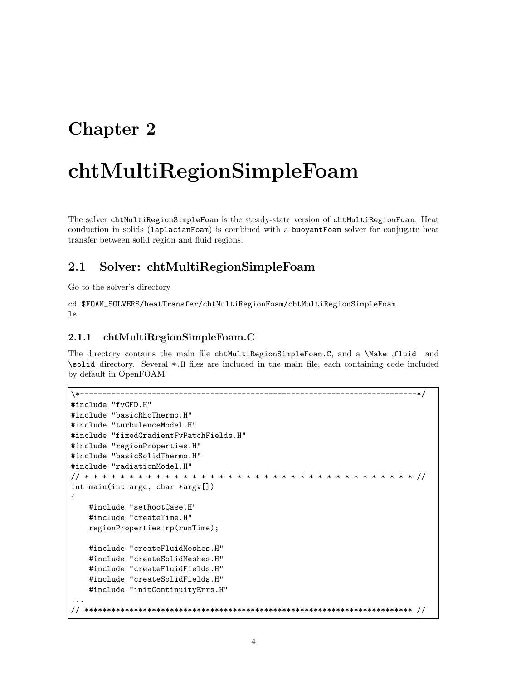# Chapter 2

# chtMultiRegionSimpleFoam

The solver chtMultiRegionSimpleFoam is the steady-state version of chtMultiRegionFoam. Heat conduction in solids (laplacianFoam) is combined with a buoyantFoam solver for conjugate heat transfer between solid region and fluid regions.

## 2.1 Solver: chtMultiRegionSimpleFoam

Go to the solver's directory

cd \$FOAM\_SOLVERS/heatTransfer/chtMultiRegionFoam/chtMultiRegionSimpleFoam ls

#### 2.1.1 chtMultiRegionSimpleFoam.C

The directory contains the main file chtMultiRegionSimpleFoam.C, and a \Make ,fluid and \solid directory. Several \*.H files are included in the main file, each containing code included by default in OpenFOAM.

```
\*---------------------------------------------------------------------------*/
#include "fvCFD.H"
#include "basicRhoThermo.H"
#include "turbulenceModel.H"
#include "fixedGradientFvPatchFields.H"
#include "regionProperties.H"
#include "basicSolidThermo.H"
#include "radiationModel.H"
// * * * * * * * * * * * * * * * * * * * * * * * * * * * * * * * * * * * * * //
int main(int argc, char *argv[])
{
    #include "setRootCase.H"
    #include "createTime.H"
   regionProperties rp(runTime);
    #include "createFluidMeshes.H"
    #include "createSolidMeshes.H"
    #include "createFluidFields.H"
    #include "createSolidFields.H"
    #include "initContinuityErrs.H"
...
// ************************************************************************* //
```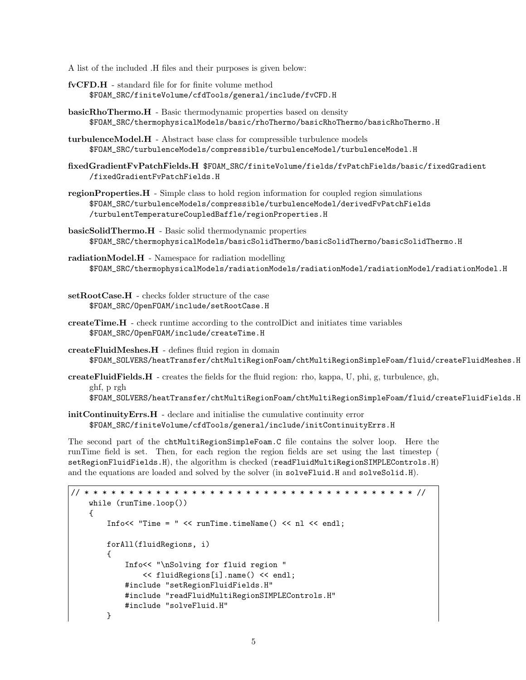A list of the included .H files and their purposes is given below:

- fvCFD.H standard file for for finite volume method \$FOAM\_SRC/finiteVolume/cfdTools/general/include/fvCFD.H
- basicRhoThermo.H Basic thermodynamic properties based on density \$FOAM\_SRC/thermophysicalModels/basic/rhoThermo/basicRhoThermo/basicRhoThermo.H
- turbulenceModel.H Abstract base class for compressible turbulence models \$FOAM\_SRC/turbulenceModels/compressible/turbulenceModel/turbulenceModel.H
- fixedGradientFvPatchFields.H \$FOAM\_SRC/finiteVolume/fields/fvPatchFields/basic/fixedGradient /fixedGradientFvPatchFields.H
- regionProperties.H Simple class to hold region information for coupled region simulations \$FOAM\_SRC/turbulenceModels/compressible/turbulenceModel/derivedFvPatchFields /turbulentTemperatureCoupledBaffle/regionProperties.H
- basicSolidThermo.H Basic solid thermodynamic properties \$FOAM\_SRC/thermophysicalModels/basicSolidThermo/basicSolidThermo/basicSolidThermo.H
- radiationModel.H Namespace for radiation modelling \$FOAM\_SRC/thermophysicalModels/radiationModels/radiationModel/radiationModel/radiationModel.H
- setRootCase.H checks folder structure of the case \$FOAM\_SRC/OpenFOAM/include/setRootCase.H
- createTime.H check runtime according to the controlDict and initiates time variables \$FOAM\_SRC/OpenFOAM/include/createTime.H
- createFluidMeshes.H defines fluid region in domain \$FOAM\_SOLVERS/heatTransfer/chtMultiRegionFoam/chtMultiRegionSimpleFoam/fluid/createFluidMeshes.H
- createFluidFields.H creates the fields for the fluid region: rho, kappa, U, phi, g, turbulence, gh, ghf, p rgh

\$FOAM\_SOLVERS/heatTransfer/chtMultiRegionFoam/chtMultiRegionSimpleFoam/fluid/createFluidFields.H

initContinuityErrs.H - declare and initialise the cumulative continuity error \$FOAM\_SRC/finiteVolume/cfdTools/general/include/initContinuityErrs.H

The second part of the chtMultiRegionSimpleFoam.C file contains the solver loop. Here the runTime field is set. Then, for each region the region fields are set using the last timestep ( setRegionFluidFields.H), the algorithm is checked (readFluidMultiRegionSIMPLEControls.H) and the equations are loaded and solved by the solver (in solveFluid.H and solveSolid.H).

```
// * * * * * * * * * * * * * * * * * * * * * * * * * * * * * * * * * * * * * //
   while (runTime.loop())
   {
        Info<< "Time = " << runTime.timeName() << nl << endl;
       forAll(fluidRegions, i)
        {
            Info<< "\nSolving for fluid region "
                << fluidRegions[i].name() << endl;
            #include "setRegionFluidFields.H"
            #include "readFluidMultiRegionSIMPLEControls.H"
            #include "solveFluid.H"
       }
```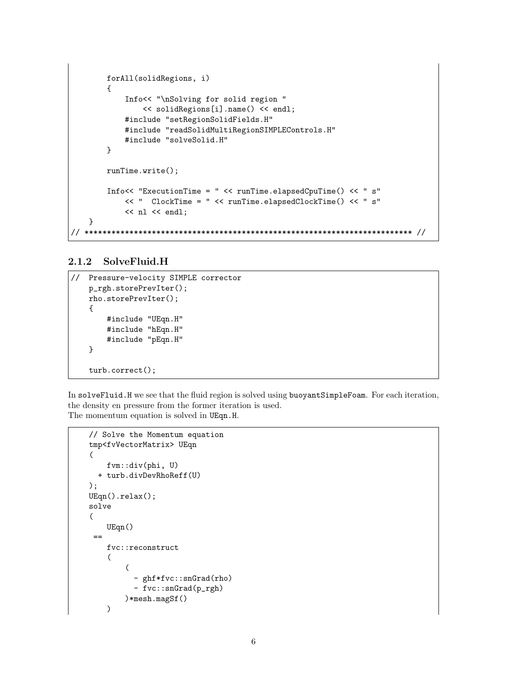```
forAll(solidRegions, i)
        {
            Info<< "\nSolving for solid region "
                << solidRegions[i].name() << endl;
            #include "setRegionSolidFields.H"
            #include "readSolidMultiRegionSIMPLEControls.H"
            #include "solveSolid.H"
        }
       runTime.write();
        Info<< "ExecutionTime = " << runTime.elapsedCpuTime() << " s"
            << " ClockTime = " << runTime.elapsedClockTime() << " s"
            << nl << endl;
    }
// ************************************************************************* //
```
#### 2.1.2 SolveFluid.H

```
// Pressure-velocity SIMPLE corrector
   p_rgh.storePrevIter();
   rho.storePrevIter();
   {
       #include "UEqn.H"
       #include "hEqn.H"
        #include "pEqn.H"
   }
   turb.correct();
```
In solveFluid.H we see that the fluid region is solved using buoyantSimpleFoam. For each iteration, the density en pressure from the former iteration is used. The momentum equation is solved in UEqn.H.

```
// Solve the Momentum equation
tmp<fvVectorMatrix> UEqn
(
    fvm::div(phi, U)
  + turb.divDevRhoReff(U)
);
UEqn().relax();
solve
(
    UEqn()
 =fvc::reconstruct
    (
         (
           - ghf*fvc::snGrad(rho)
           - fvc::snGrad(p_rgh)
        )*mesh.magSf()
    \mathcal{L}
```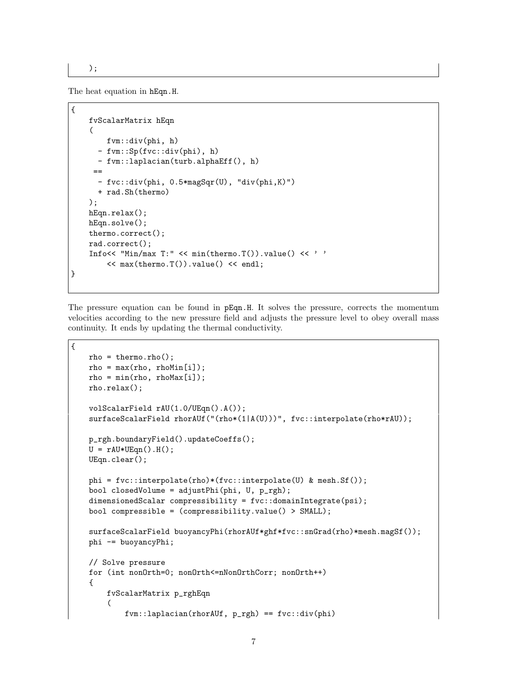);

The heat equation in hEqn.H.

```
{
   fvScalarMatrix hEqn
    (
       fvm::div(phi, h)
      - fvm::Sp(fvc::div(phi), h)
     - fvm::laplacian(turb.alphaEff(), h)
     ==
      - fvc::div(phi, 0.5*magSqr(U), "div(phi,K)")
      + rad.Sh(thermo)
   );
   hEqn.relax();
   hEqn.solve();
   thermo.correct();
   rad.correct();
    Info<< "Min/max T:" << min(thermo.T()).value() << ' '
        << max(thermo.T()).value() << endl;
}
```
The pressure equation can be found in pEqn.H. It solves the pressure, corrects the momentum velocities according to the new pressure field and adjusts the pressure level to obey overall mass continuity. It ends by updating the thermal conductivity.

```
{
   rho = thermo.rho();
   rho = max(rho, rhoMin[i]);rho = min(rho, rhoMax[i]);rho.relax();
    volScalarField rAU(1.0/UEqn().A());
    surfaceScalarField rhorAUf("(rho*(1|A(U)))", fvc::interpolate(rho*rAU));
   p_rgh.boundaryField().updateCoeffs();
   U = rAU*UEqn() . H();
   UEqn.clear();
   phi = fvc::interpolate(rho)*(fvc::interpolate(U) & mesh.Sf());
    bool closedVolume = adjustPhi(phi, U, p_rgh);
    dimensionedScalar compressibility = fvc::domainIntegrate(psi);
    bool compressible = (compressibility.value() > SMALL);
    surfaceScalarField buoyancyPhi(rhorAUf*ghf*fvc::snGrad(rho)*mesh.magSf());
   phi -= buoyancyPhi;
    // Solve pressure
   for (int nonOrth=0; nonOrth<=nNonOrthCorr; nonOrth++)
    {
        fvScalarMatrix p_rghEqn
        (
            fvm::laplacian(rhorAUf, p_rgh) == fvc::div(phi)
```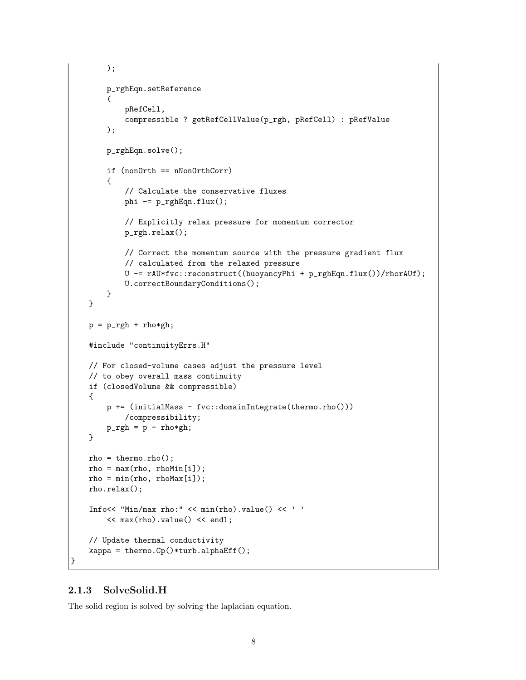```
);
    p_rghEqn.setReference
    (
        pRefCell,
        compressible ? getRefCellValue(p_rgh, pRefCell) : pRefValue
    );
   p_rghEqn.solve();
   if (nonOrth == nNonOrthCorr)
    {
        // Calculate the conservative fluxes
        phi - = p_{rghEqn}.flux();
        // Explicitly relax pressure for momentum corrector
        p_rgh.relax();
        // Correct the momentum source with the pressure gradient flux
        // calculated from the relaxed pressure
        U -= rAU*fvc::reconstruct((buoyancyPhi + p_rghEqn.flux())/rhorAUf);
        U.correctBoundaryConditions();
    }
}
p = p_{rgh} + rho * gh;#include "continuityErrs.H"
// For closed-volume cases adjust the pressure level
// to obey overall mass continuity
if (closedVolume && compressible)
{
    p += (initialMass - fvc::domainIntegrate(thermo.rho()))
        /compressibility;
   p_{rgh} = p - rho * gh;}
rho = thermo.rho();
rho = max(rho, rhoMin[i]);rho = min(rho, rhoMax[i]);rho.relax();
Info<< "Min/max rho:" << min(rho).value() << ' '
    << max(rho).value() << endl;
// Update thermal conductivity
kappa = thermo.Cp()*turb.alphaEff();
```
#### 2.1.3 SolveSolid.H

}

The solid region is solved by solving the laplacian equation.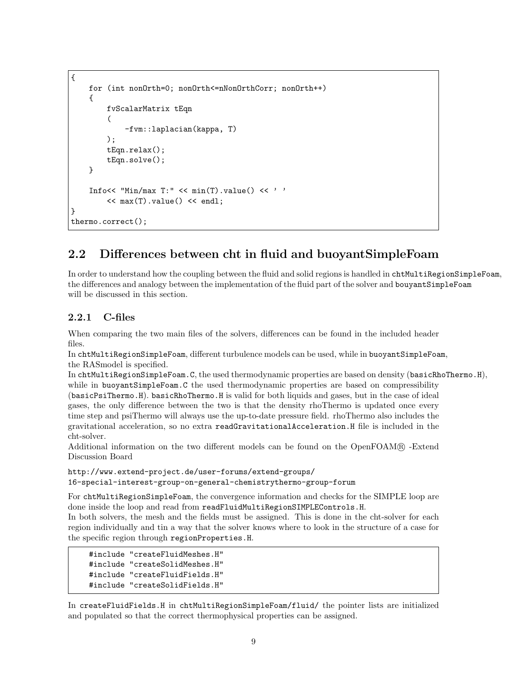```
{
    for (int nonOrth=0; nonOrth<=nNonOrthCorr; nonOrth++)
    {
        fvScalarMatrix tEqn
        (
            -fvm::laplacian(kappa, T)
        );
        tEqn.relax();
        tEqn.solve();
    }
    Info<< "Min/max T:" << min(T).value() << ' '
        \lt max(T).value() \lt endl;
}
thermo.correct();
```
## 2.2 Differences between cht in fluid and buoyantSimpleFoam

In order to understand how the coupling between the fluid and solid regions is handled in chtMultiRegionSimpleFoam, the differences and analogy between the implementation of the fluid part of the solver and bouyantSimpleFoam will be discussed in this section.

#### 2.2.1 C-files

When comparing the two main files of the solvers, differences can be found in the included header files.

In chtMultiRegionSimpleFoam, different turbulence models can be used, while in buoyantSimpleFoam, the RASmodel is specified.

In chtMultiRegionSimpleFoam.C, the used thermodynamic properties are based on density (basicRhoThermo.H), while in buoyant SimpleFoam. C the used thermodynamic properties are based on compressibility (basicPsiThermo.H). basicRhoThermo.H is valid for both liquids and gases, but in the case of ideal gases, the only difference between the two is that the density rhoThermo is updated once every time step and psiThermo will always use the up-to-date pressure field. rhoThermo also includes the gravitational acceleration, so no extra readGravitationalAcceleration.H file is included in the cht-solver.

Additional information on the two different models can be found on the OpenFOAM <sup>R</sup> -Extend Discussion Board

http://www.extend-project.de/user-forums/extend-groups/ 16-special-interest-group-on-general-chemistrythermo-group-forum

For chtMultiRegionSimpleFoam, the convergence information and checks for the SIMPLE loop are done inside the loop and read from readFluidMultiRegionSIMPLEControls.H.

In both solvers, the mesh and the fields must be assigned. This is done in the cht-solver for each region individually and tin a way that the solver knows where to look in the structure of a case for the specific region through regionProperties.H.

```
#include "createFluidMeshes.H"
#include "createSolidMeshes.H"
#include "createFluidFields.H"
#include "createSolidFields.H"
```
In createFluidFields.H in chtMultiRegionSimpleFoam/fluid/ the pointer lists are initialized and populated so that the correct thermophysical properties can be assigned.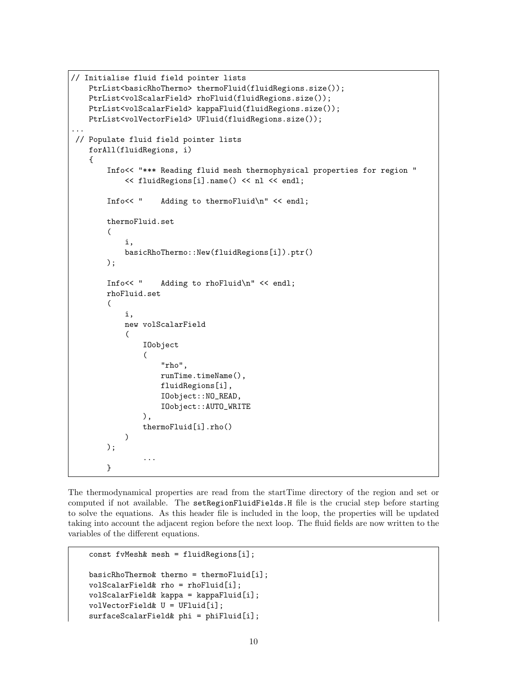```
// Initialise fluid field pointer lists
   PtrList<br/>basicRhoThermo> thermoFluid(fluidRegions.size());
   PtrList<volScalarField> rhoFluid(fluidRegions.size());
   PtrList<volScalarField> kappaFluid(fluidRegions.size());
   PtrList<volVectorField> UFluid(fluidRegions.size());
...
// Populate fluid field pointer lists
    forAll(fluidRegions, i)
    {
        Info<< "*** Reading fluid mesh thermophysical properties for region "
            << fluidRegions[i].name() << nl << endl;
        Info<< " Adding to thermoFluid\n" << endl;
        thermoFluid.set
        (
            i,
            basicRhoThermo::New(fluidRegions[i]).ptr()
        );
        Info<< " Adding to rhoFluid\n" << endl;
        rhoFluid.set
        (
            i,
            new volScalarField
            (
                IOobject
                (
                    "rho",
                    runTime.timeName(),
                    fluidRegions[i],
                    IOobject::NO_READ,
                    IOobject::AUTO_WRITE
                ),
                thermoFluid[i].rho()
            )
        );
                ...
        }
```
The thermodynamical properties are read from the startTime directory of the region and set or computed if not available. The setRegionFluidFields.H file is the crucial step before starting to solve the equations. As this header file is included in the loop, the properties will be updated taking into account the adjacent region before the next loop. The fluid fields are now written to the variables of the different equations.

```
const fvMesh& mesh = fluidRegions[i];
basicRhoThermo& thermo = thermoFluid[i];
volScalarField& rho = rhoFluid[i];
volScalarField& kappa = kappaFluid[i];
volVectorField& U = UFluid[i];
surfaceScalarField& phi = phiFluid[i];
```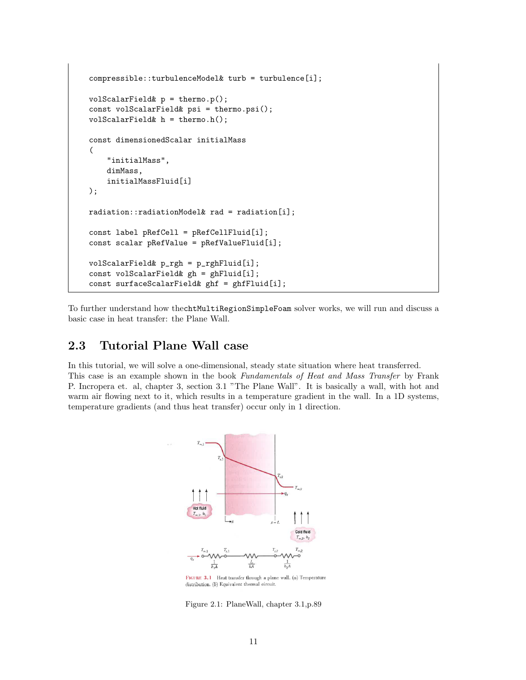```
compressible::turbulenceModel& turb = turbulence[i];
volScalarField& p = thermo.p();
const volScalarField& psi = thermo.psi();
volScalarField& h = thermo.h();
const dimensionedScalar initialMass
(
    "initialMass",
    dimMass,
    initialMassFluid[i]
);
radiation::radiationModel& rad = radiation[i];
const label pRefCell = pRefCellFluid[i];
const scalar pRefValue = pRefValueFluid[i];
volScalarField& p_rgh = p_rghFluid[i];
const volScalarField& gh = ghFluid[i];
const surfaceScalarField& ghf = ghfFluid[i];
```
To further understand how thechtMultiRegionSimpleFoam solver works, we will run and discuss a basic case in heat transfer: the Plane Wall.

### 2.3 Tutorial Plane Wall case

In this tutorial, we will solve a one-dimensional, steady state situation where heat transferred. This case is an example shown in the book Fundamentals of Heat and Mass Transfer by Frank P. Incropera et. al, chapter 3, section 3.1 "The Plane Wall". It is basically a wall, with hot and warm air flowing next to it, which results in a temperature gradient in the wall. In a 1D systems, temperature gradients (and thus heat transfer) occur only in 1 direction.



FIGURE 3.1 Heat transfer through a plane wall. (a) Temperature distribution. (b) Equivalent thermal circuit.

Figure 2.1: PlaneWall, chapter 3.1,p.89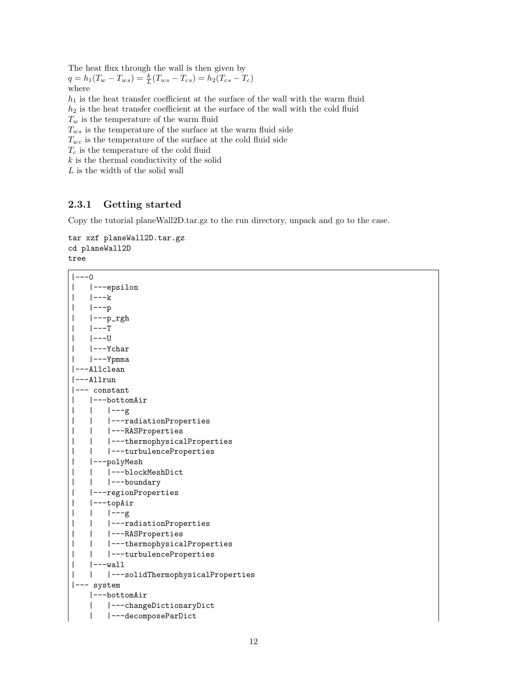The heat flux through the wall is then given by

 $q = h_1(T_w - T_{ws}) = \frac{k}{L}(T_{ws} - T_{cs}) = h_2(T_{cs} - T_c)$ where

 $h_1$  is the heat transfer coefficient at the surface of the wall with the warm fluid

 $h_2$  is the heat transfer coefficient at the surface of the wall with the cold fluid

 $T_w$  is the temperature of the warm fluid

 $T_{ws}$  is the temperature of the surface at the warm fluid side

 $T_{wc}$  is the temperature of the surface at the cold fluid side

 $T_c$  is the temperature of the cold fluid

 $k$  is the thermal conductivity of the solid

L is the width of the solid wall

#### 2.3.1 Getting started

Copy the tutorial planeWall2D.tar.gz to the run directory, unpack and go to the case.

#### tar xzf planeWall2D.tar.gz cd planeWall2D tree

```
|---0| |---epsilon
| | | | | - - | \mathbf{k}| |---p
| |---p_rgh
| |---T
| |---U
     | |---Ychar
     | |---Ypmma
|---Allclean
|---Allrun
|--- constant
     | |---bottomAir
| | |---g
| | |---radiationProperties
| | |---RASProperties
| | |---thermophysicalProperties
| | |---turbulenceProperties
| |---polyMesh
| | |---blockMeshDict
| | |---boundary
| |---regionProperties
| |---topAir
| | |---g
| | |---radiationProperties
| | |---RASProperties
| | |---thermophysicalProperties
| | |---turbulenceProperties
| | | | - - \leq \leq \leq \leq \leq \leq \leq \leq \leq \leq \leq \leq \leq \leq \leq \leq \leq \leq \leq \leq \leq \leq \leq \leq \leq \leq \leq \leq \leq \leq \leq \leq \leq| | |---solidThermophysicalProperties
|--- system
     |---bottomAir
     | |---changeDictionaryDict
     | |---decomposeParDict
```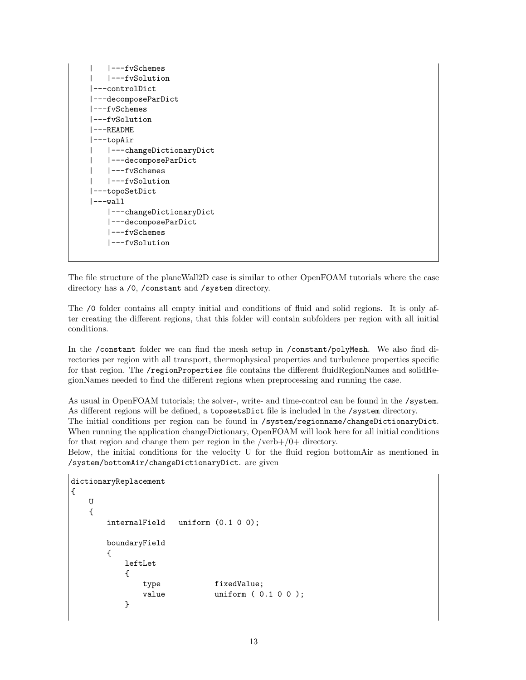```
| |---fvSchemes
    | |---fvSolution
|---controlDict
|---decomposeParDict
|---fvSchemes
|---fvSolution
|---README
|---topAir
    | |---changeDictionaryDict
    | |---decomposeParDict
    | |---fvSchemes
    | |---fvSolution
|---topoSetDict
|---wall||---changeDictionaryDict
    |---decomposeParDict
    |---fvSchemes
    |---fvSolution
```
The file structure of the planeWall2D case is similar to other OpenFOAM tutorials where the case directory has a /0, /constant and /system directory.

The /0 folder contains all empty initial and conditions of fluid and solid regions. It is only after creating the different regions, that this folder will contain subfolders per region with all initial conditions.

In the /constant folder we can find the mesh setup in /constant/polyMesh. We also find directories per region with all transport, thermophysical properties and turbulence properties specific for that region. The /regionProperties file contains the different fluidRegionNames and solidRegionNames needed to find the different regions when preprocessing and running the case.

As usual in OpenFOAM tutorials; the solver-, write- and time-control can be found in the /system. As different regions will be defined, a toposetsDict file is included in the /system directory. The initial conditions per region can be found in /system/regionname/changeDictionaryDict. When running the application changeDictionary, OpenFOAM will look here for all initial conditions for that region and change them per region in the /verb+/0+ directory.

Below, the initial conditions for the velocity U for the fluid region bottomAir as mentioned in /system/bottomAir/changeDictionaryDict. are given

```
dictionaryReplacement
{
   U
   {
       internalField uniform (0.1 0 0);
       boundaryField
       {
          leftLet
          {
              type fixedValue;
              value uniform (0.1 0 0 );
          }
```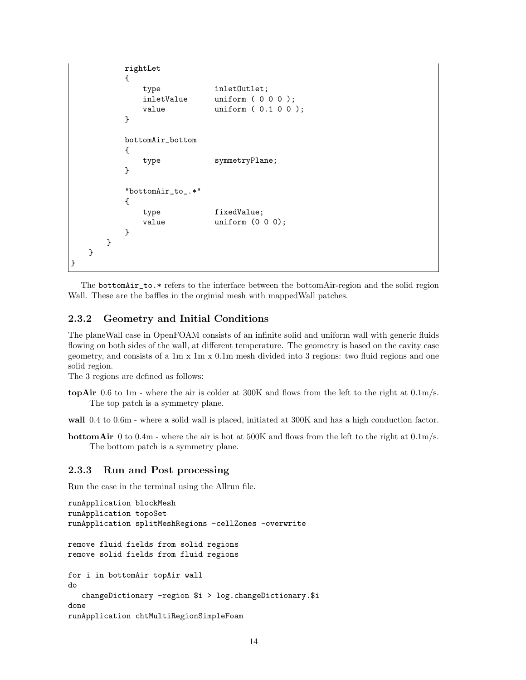```
rightLet
         {
             type inletOutlet;
             inletValue uniform ( 0 0 0 );
             value uniform (0.1 0 0 );
         }
         bottomAir_bottom
         {
             type symmetryPlane;
         }
         "bottomAir_to_.*"
         {
             type fixedValue;
             value uniform (0 0 0);
         }
      }
   }
}
```
The bottomAir\_to.\* refers to the interface between the bottomAir-region and the solid region Wall. These are the baffles in the orginial mesh with mappedWall patches.

#### 2.3.2 Geometry and Initial Conditions

The planeWall case in OpenFOAM consists of an infinite solid and uniform wall with generic fluids flowing on both sides of the wall, at different temperature. The geometry is based on the cavity case geometry, and consists of a 1m x 1m x 0.1m mesh divided into 3 regions: two fluid regions and one solid region.

The 3 regions are defined as follows:

topAir 0.6 to 1m - where the air is colder at 300K and flows from the left to the right at 0.1m/s. The top patch is a symmetry plane.

wall  $0.4$  to  $0.6$ m - where a solid wall is placed, initiated at 300K and has a high conduction factor.

bottomAir 0 to 0.4m - where the air is hot at 500K and flows from the left to the right at 0.1m/s. The bottom patch is a symmetry plane.

#### 2.3.3 Run and Post processing

Run the case in the terminal using the Allrun file.

```
runApplication blockMesh
runApplication topoSet
runApplication splitMeshRegions -cellZones -overwrite
remove fluid fields from solid regions
remove solid fields from fluid regions
for i in bottomAir topAir wall
do
   changeDictionary -region $i > log.changeDictionary.$i
done
runApplication chtMultiRegionSimpleFoam
```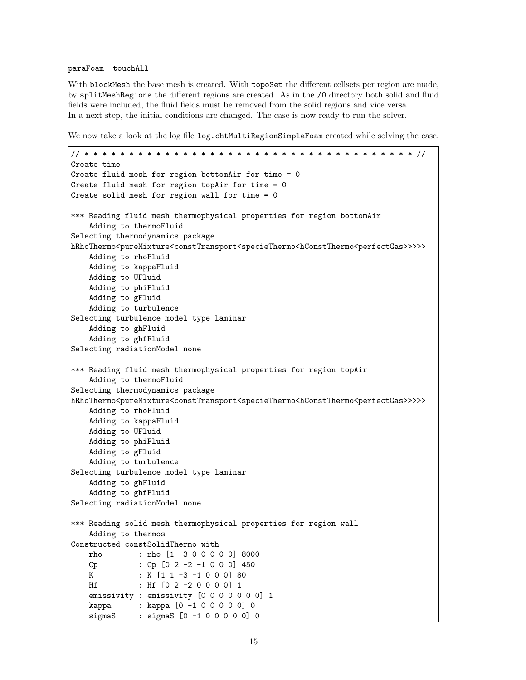#### paraFoam -touchAll

With blockMesh the base mesh is created. With topoSet the different cellsets per region are made, by splitMeshRegions the different regions are created. As in the /0 directory both solid and fluid fields were included, the fluid fields must be removed from the solid regions and vice versa. In a next step, the initial conditions are changed. The case is now ready to run the solver.

We now take a look at the log file log.chtMultiRegionSimpleFoam created while solving the case.

```
// * * * * * * * * * * * * * * * * * * * * * * * * * * * * * * * * * * * * * //
Create time
Create fluid mesh for region bottomAir for time = 0
Create fluid mesh for region topAir for time = 0
Create solid mesh for region wall for time = 0
*** Reading fluid mesh thermophysical properties for region bottomAir
    Adding to thermoFluid
Selecting thermodynamics package
hRhoThermo<pureMixture<constTransport<specieThermo<hConstThermo<perfectGas>>>>>
   Adding to rhoFluid
   Adding to kappaFluid
   Adding to UFluid
   Adding to phiFluid
   Adding to gFluid
   Adding to turbulence
Selecting turbulence model type laminar
   Adding to ghFluid
   Adding to ghfFluid
Selecting radiationModel none
*** Reading fluid mesh thermophysical properties for region topAir
   Adding to thermoFluid
Selecting thermodynamics package
hRhoThermo<pureMixture<constTransport<specieThermo<hConstThermo<perfectGas>>>>>
   Adding to rhoFluid
   Adding to kappaFluid
   Adding to UFluid
   Adding to phiFluid
   Adding to gFluid
   Adding to turbulence
Selecting turbulence model type laminar
   Adding to ghFluid
   Adding to ghfFluid
Selecting radiationModel none
*** Reading solid mesh thermophysical properties for region wall
   Adding to thermos
Constructed constSolidThermo with
   rho : rho [1 -3 0 0 0 0 0] 8000
   Cp : Cp [0 2 -2 -1 0 0 0] 450
   K : K [1 1 -3 -1 0 0 0] 80
   Hf : Hf [0 2 -2 0 0 0 0] 1
   emissivity : emissivity [0 0 0 0 0 0 0] 1
   kappa : kappa [0 -1 0 0 0 0 0] 0
   sigmaS : sigmaS [0 -1 0 0 0 0 0] 0
```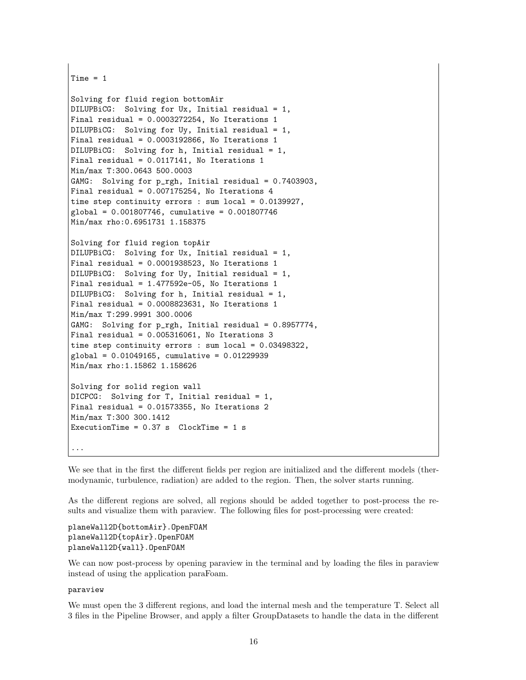```
Time = 1
```

```
Solving for fluid region bottomAir
DILUPBiCG: Solving for Ux, Initial residual = 1,
Final residual = 0.0003272254, No Iterations 1
DILUPBiCG: Solving for Uy, Initial residual = 1,
Final residual = 0.0003192866, No Iterations 1
DILUPBiCG: Solving for h, Initial residual = 1,
Final residual = 0.0117141, No Iterations 1
Min/max T:300.0643 500.0003
GAMG: Solving for p_rgh, Initial residual = 0.7403903,
Final residual = 0.007175254, No Iterations 4
time step continuity errors : sum local = 0.0139927,
global = 0.001807746, cumulative = 0.001807746
Min/max rho:0.6951731 1.158375
Solving for fluid region topAir
DILUPBiCG: Solving for Ux, Initial residual = 1,
Final residual = 0.0001938523, No Iterations 1
DILUPBiCG: Solving for Uy, Initial residual = 1,
Final residual = 1.477592e-05, No Iterations 1
DILUPBiCG: Solving for h, Initial residual = 1,
Final residual = 0.0008823631, No Iterations 1
Min/max T:299.9991 300.0006
GAMG: Solving for p_rgh, Initial residual = 0.8957774,
Final residual = 0.005316061, No Iterations 3
time step continuity errors : sum local = 0.03498322,
global = 0.01049165, cumulative = 0.01229939
Min/max rho:1.15862 1.158626
```
Solving for solid region wall DICPCG: Solving for T, Initial residual = 1, Final residual = 0.01573355, No Iterations 2 Min/max T:300 300.1412 ExecutionTime =  $0.37$  s  $ClockTime = 1$  s ...

We see that in the first the different fields per region are initialized and the different models (thermodynamic, turbulence, radiation) are added to the region. Then, the solver starts running.

As the different regions are solved, all regions should be added together to post-process the results and visualize them with paraview. The following files for post-processing were created:

planeWall2D{bottomAir}.OpenFOAM planeWall2D{topAir}.OpenFOAM planeWall2D{wall}.OpenFOAM

We can now post-process by opening paraview in the terminal and by loading the files in paraview instead of using the application paraFoam.

#### paraview

We must open the 3 different regions, and load the internal mesh and the temperature T. Select all 3 files in the Pipeline Browser, and apply a filter GroupDatasets to handle the data in the different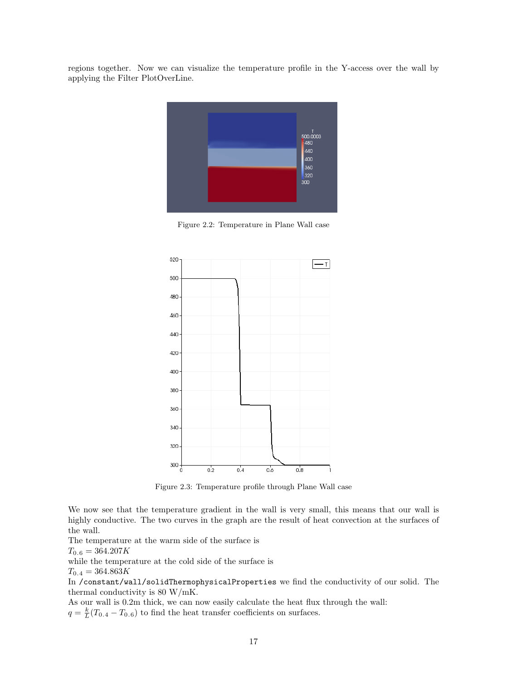regions together. Now we can visualize the temperature profile in the Y-access over the wall by applying the Filter PlotOverLine.



Figure 2.2: Temperature in Plane Wall case



Figure 2.3: Temperature profile through Plane Wall case

We now see that the temperature gradient in the wall is very small, this means that our wall is highly conductive. The two curves in the graph are the result of heat convection at the surfaces of the wall.

The temperature at the warm side of the surface is

 $T_{0.6} = 364.207K$ 

while the temperature at the cold side of the surface is

 $T_{0.4} = 364.863K$ 

In /constant/wall/solidThermophysicalProperties we find the conductivity of our solid. The thermal conductivity is 80 W/mK.

As our wall is 0.2m thick, we can now easily calculate the heat flux through the wall:  $q = \frac{k}{L}(T_{0.4} - T_{0.6})$  to find the heat transfer coefficients on surfaces.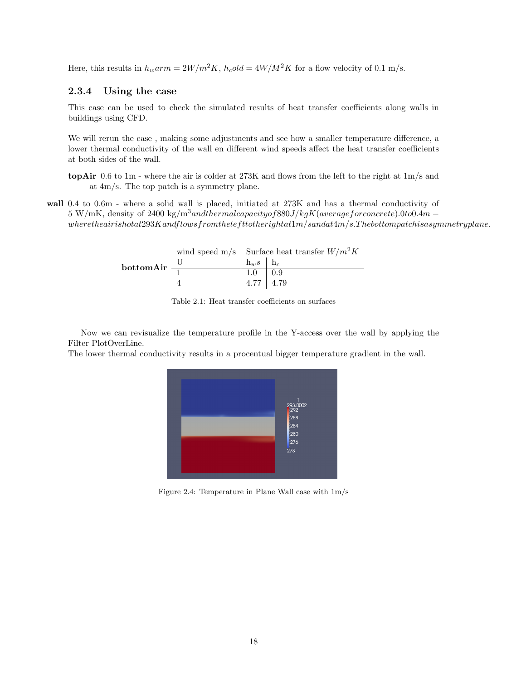Here, this results in  $h_w a r m = 2W/m^2 K$ ,  $h_c old = 4W/M^2 K$  for a flow velocity of 0.1 m/s.

#### 2.3.4 Using the case

This case can be used to check the simulated results of heat transfer coefficients along walls in buildings using CFD.

We will rerun the case , making some adjustments and see how a smaller temperature difference, a lower thermal conductivity of the wall en different wind speeds affect the heat transfer coefficients at both sides of the wall.

wall 0.4 to 0.6m - where a solid wall is placed, initiated at 273K and has a thermal conductivity of 5 W/mK, density of 2400 kg/m<sup>3</sup>andthermalcapacityof880J/kgK(averageforconcrete).0to0.4m –  $where the air is hot at 293K and flows from the left to the right at 1m/s and at 4m/s. The bottom patch is a symmetry line.$ 



Table 2.1: Heat transfer coefficients on surfaces

Now we can revisualize the temperature profile in the Y-access over the wall by applying the Filter PlotOverLine.

The lower thermal conductivity results in a procentual bigger temperature gradient in the wall.



Figure 2.4: Temperature in Plane Wall case with 1m/s

topAir 0.6 to 1m - where the air is colder at 273K and flows from the left to the right at 1m/s and at 4m/s. The top patch is a symmetry plane.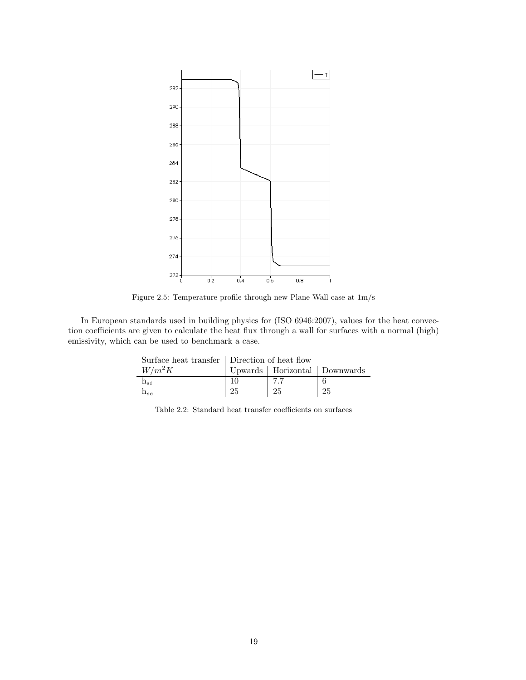

Figure 2.5: Temperature profile through new Plane Wall case at 1m/s

In European standards used in building physics for (ISO 6946:2007), values for the heat convection coefficients are given to calculate the heat flux through a wall for surfaces with a normal (high) emissivity, which can be used to benchmark a case.

|                                 | Surface heat transfer   Direction of heat flow |                                  |    |
|---------------------------------|------------------------------------------------|----------------------------------|----|
| $W/m^2K$                        |                                                | Upwards   Horizontal   Downwards |    |
| $n_{si}$                        |                                                | 7.7                              |    |
| $\Pi_{\mathcal{S} \mathcal{P}}$ | 25                                             | 25                               | 25 |

Table 2.2: Standard heat transfer coefficients on surfaces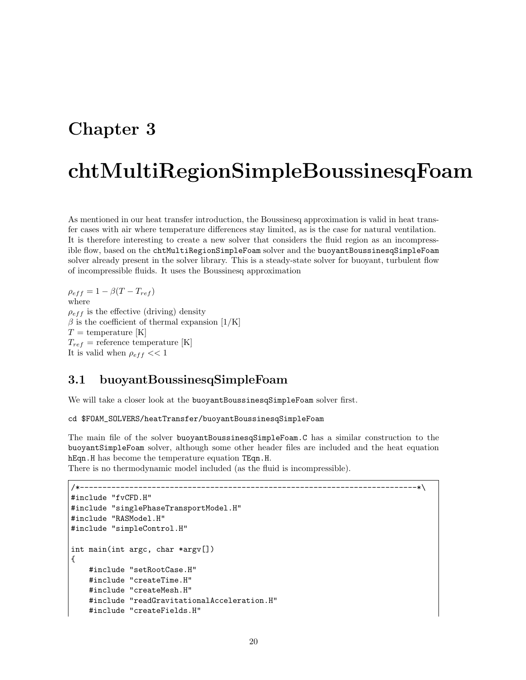# Chapter 3

# chtMultiRegionSimpleBoussinesqFoam

As mentioned in our heat transfer introduction, the Boussinesq approximation is valid in heat transfer cases with air where temperature differences stay limited, as is the case for natural ventilation. It is therefore interesting to create a new solver that considers the fluid region as an incompressible flow, based on the chtMultiRegionSimpleFoam solver and the buoyantBoussinesqSimpleFoam solver already present in the solver library. This is a steady-state solver for buoyant, turbulent flow of incompressible fluids. It uses the Boussinesq approximation

 $\rho_{eff} = 1 - \beta (T - T_{ref})$ where  $\rho_{eff}$  is the effective (driving) density  $\beta$  is the coefficient of thermal expansion [1/K]  $T =$  temperature [K]  $T_{ref}$  = reference temperature [K] It is valid when  $\rho_{eff}$  << 1

### 3.1 buoyantBoussinesqSimpleFoam

We will take a closer look at the buoyantBoussinesqSimpleFoam solver first.

```
cd $FOAM_SOLVERS/heatTransfer/buoyantBoussinesqSimpleFoam
```
The main file of the solver buoyantBoussinesqSimpleFoam.C has a similar construction to the buoyantSimpleFoam solver, although some other header files are included and the heat equation hEqn.H has become the temperature equation TEqn.H.

There is no thermodynamic model included (as the fluid is incompressible).

```
/*---------------------------------------------------------------------------*\
#include "fvCFD.H"
#include "singlePhaseTransportModel.H"
#include "RASModel.H"
#include "simpleControl.H"
int main(int argc, char *argv[])
{
    #include "setRootCase.H"
    #include "createTime.H"
    #include "createMesh.H"
    #include "readGravitationalAcceleration.H"
    #include "createFields.H"
```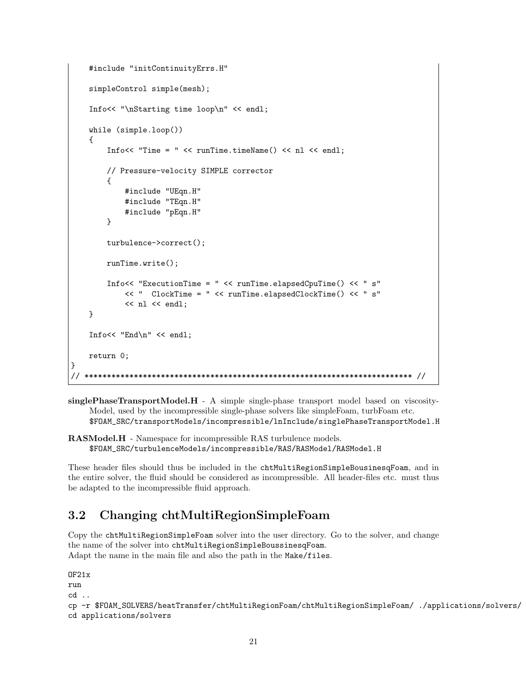```
#include "initContinuityErrs.H"
    simpleControl simple(mesh);
    Info<< "\nStarting time loop\n" << endl;
    while (simple.loop())
    {
        Info<< "Time = " << runTime.timeName() << nl << endl;
        // Pressure-velocity SIMPLE corrector
        {
            #include "UEqn.H"
            #include "TEqn.H"
            #include "pEqn.H"
        }
        turbulence->correct();
        runTime.write();
        Info<< "ExecutionTime = " << runTime.elapsedCpuTime() << " s"
            << " ClockTime = " << runTime.elapsedClockTime() << " s"
            << nl << endl;
    }
    Info<< "End\n" << endl;
    return 0;
}
   // ************************************************************************* //
```
singlePhaseTransportModel.H - A simple single-phase transport model based on viscosity-Model, used by the incompressible single-phase solvers like simpleFoam, turbFoam etc. \$FOAM\_SRC/transportModels/incompressible/lnInclude/singlePhaseTransportModel.H

RASModel.H - Namespace for incompressible RAS turbulence models. \$FOAM\_SRC/turbulenceModels/incompressible/RAS/RASModel/RASModel.H

These header files should thus be included in the chtMultiRegionSimpleBousinesqFoam, and in the entire solver, the fluid should be considered as incompressible. All header-files etc. must thus be adapted to the incompressible fluid approach.

## 3.2 Changing chtMultiRegionSimpleFoam

Copy the chtMultiRegionSimpleFoam solver into the user directory. Go to the solver, and change the name of the solver into chtMultiRegionSimpleBoussinesqFoam. Adapt the name in the main file and also the path in the Make/files.

```
\overline{OF21x}run
cd ..
cp -r $FOAM_SOLVERS/heatTransfer/chtMultiRegionFoam/chtMultiRegionSimpleFoam/ ./applications/solvers/
```

```
cd applications/solvers
```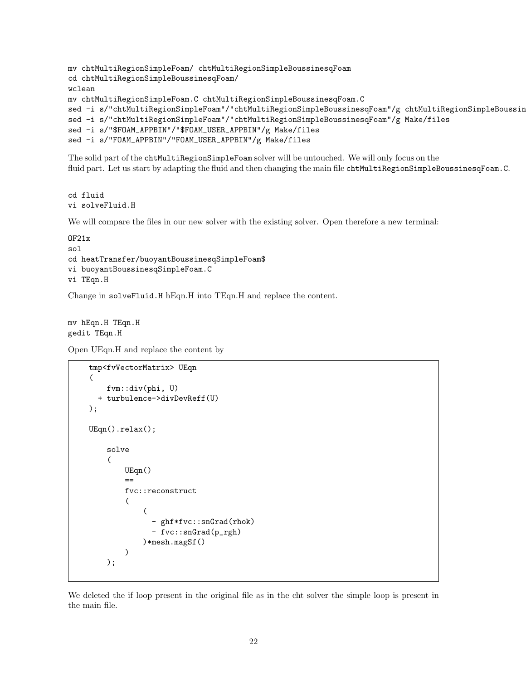```
mv chtMultiRegionSimpleFoam/ chtMultiRegionSimpleBoussinesqFoam
cd chtMultiRegionSimpleBoussinesqFoam/
wclean
mv chtMultiRegionSimpleFoam.C chtMultiRegionSimpleBoussinesqFoam.C
sed -i s/"chtMultiRegionSimpleFoam"/"chtMultiRegionSimpleBoussinesqFoam"/g chtMultiRegionSimpleBoussin
sed -i s/"chtMultiRegionSimpleFoam"/"chtMultiRegionSimpleBoussinesqFoam"/g Make/files
sed -i s/"$FOAM_APPBIN"/"$FOAM_USER_APPBIN"/g Make/files
sed -i s/"FOAM_APPBIN"/"FOAM_USER_APPBIN"/g Make/files
```
The solid part of the chtMultiRegionSimpleFoam solver will be untouched. We will only focus on the fluid part. Let us start by adapting the fluid and then changing the main file chtMultiRegionSimpleBoussinesqFoam.C.

```
cd fluid
vi solveFluid.H
```
We will compare the files in our new solver with the existing solver. Open therefore a new terminal:

```
OF21x
sol
cd heatTransfer/buoyantBoussinesqSimpleFoam$
vi buoyantBoussinesqSimpleFoam.C
vi TEqn.H
```
Change in solveFluid.H hEqn.H into TEqn.H and replace the content.

mv hEqn.H TEqn.H gedit TEqn.H

Open UEqn.H and replace the content by

```
tmp<fvVectorMatrix> UEqn
(
    fvm::div(phi, U)
  + turbulence->divDevReff(U)
);
UEqn().relax();
    solve
    (
        UEqn()
        ==
        fvc::reconstruct
        (
             (
               - ghf*fvc::snGrad(rhok)
               - fvc::snGrad(p_rgh)
            )*mesh.magSf()
        )
    );
```
We deleted the if loop present in the original file as in the cht solver the simple loop is present in the main file.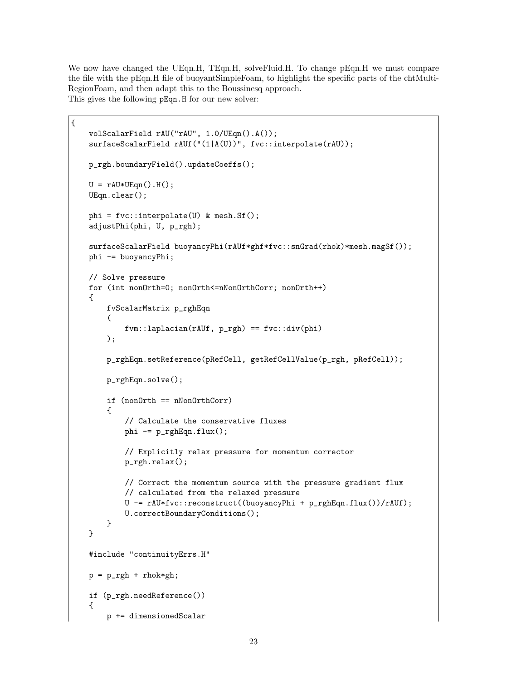We now have changed the UEqn.H, TEqn.H, solveFluid.H. To change pEqn.H we must compare the file with the pEqn.H file of buoyantSimpleFoam, to highlight the specific parts of the chtMulti-RegionFoam, and then adapt this to the Boussinesq approach. This gives the following pEqn.H for our new solver:

{

```
volScalarField rAU("rAU", 1.0/UEqn().A());
surfaceScalarField rAUf("(1|A(U))", fvc::interpolate(rAU));
p_rgh.boundaryField().updateCoeffs();
U = rAU*UEqn() . H();
UEqn.clear();
phi = fvc::interpolate(U) & mesh.Sf();
adjustPhi(phi, U, p_rgh);
surfaceScalarField buoyancyPhi(rAUf*ghf*fvc::snGrad(rhok)*mesh.magSf());
phi -= buoyancyPhi;
// Solve pressure
for (int nonOrth=0; nonOrth<=nNonOrthCorr; nonOrth++)
{
    fvScalarMatrix p_rghEqn
    (
        fvm::laplacian(rAUf, p_rgh) == fvc::div(phi)
    );
    p_rghEqn.setReference(pRefCell, getRefCellValue(p_rgh, pRefCell));
   p_rghEqn.solve();
    if (nonOrth == nNonOrthCorr)
    {
        // Calculate the conservative fluxes
        phi -= p_rghEqn.flux();
        // Explicitly relax pressure for momentum corrector
        p_rgh.relax();
        // Correct the momentum source with the pressure gradient flux
        // calculated from the relaxed pressure
        U -= rAU*fvc::reconstruct((buoyancyPhi + p_rghEqn.flux())/rAUf);
        U.correctBoundaryConditions();
    }
}
#include "continuityErrs.H"
p = p_{rgh} + rhoif (p_rgh.needReference())
{
    p += dimensionedScalar
```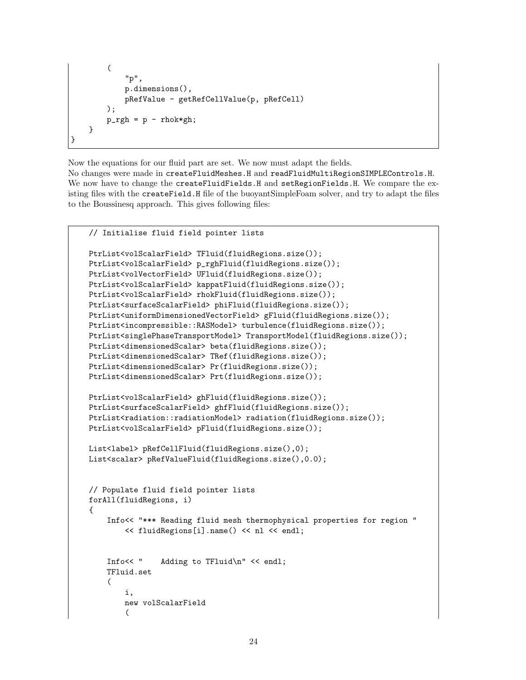```
(
            "p",
            p.dimensions(),
            pRefValue - getRefCellValue(p, pRefCell)
       );
       p_{rgh} = p - rho}
}
```
Now the equations for our fluid part are set. We now must adapt the fields.

No changes were made in createFluidMeshes.H and readFluidMultiRegionSIMPLEControls.H. We now have to change the createFluidFields.H and setRegionFields.H. We compare the existing files with the createField.H file of the buoyantSimpleFoam solver, and try to adapt the files to the Boussinesq approach. This gives following files:

```
// Initialise fluid field pointer lists
PtrList<volScalarField> TFluid(fluidRegions.size());
PtrList<volScalarField> p_rghFluid(fluidRegions.size());
PtrList<volVectorField> UFluid(fluidRegions.size());
PtrList<volScalarField> kappatFluid(fluidRegions.size());
PtrList<volScalarField> rhokFluid(fluidRegions.size());
PtrList<surfaceScalarField> phiFluid(fluidRegions.size());
PtrList<uniformDimensionedVectorField> gFluid(fluidRegions.size());
PtrList<incompressible::RASModel> turbulence(fluidRegions.size());
PtrList<singlePhaseTransportModel> TransportModel(fluidRegions.size());
PtrList<dimensionedScalar> beta(fluidRegions.size());
PtrList<dimensionedScalar> TRef(fluidRegions.size());
PtrList<dimensionedScalar> Pr(fluidRegions.size());
PtrList<dimensionedScalar> Prt(fluidRegions.size());
PtrList<volScalarField> ghFluid(fluidRegions.size());
PtrList<surfaceScalarField> ghfFluid(fluidRegions.size());
PtrList<radiation::radiationModel> radiation(fluidRegions.size());
PtrList<volScalarField> pFluid(fluidRegions.size());
List<label> pRefCellFluid(fluidRegions.size(),0);
List<scalar> pRefValueFluid(fluidRegions.size(),0.0);
// Populate fluid field pointer lists
forAll(fluidRegions, i)
{
    Info<< "*** Reading fluid mesh thermophysical properties for region "
        << fluidRegions[i].name() << nl << endl;
    Info<< " Adding to TFluid\n" << endl;
    TFluid.set
    (
        i,
        new volScalarField
        (
```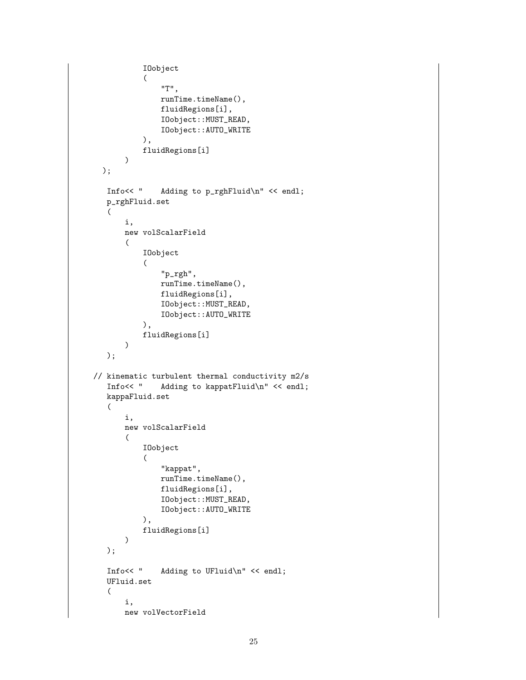```
IOobject
            (
                "T",
                runTime.timeName(),
                fluidRegions[i],
                IOobject::MUST_READ,
                IOobject::AUTO_WRITE
            ),
            fluidRegions[i]
       )
  );
   Info<< " Adding to p_rghFluid\n" << endl;
   p_rghFluid.set
   (
       i,
       new volScalarField
       (
            IOobject
            \left("p_rgh",
                runTime.timeName(),
                fluidRegions[i],
                IOobject::MUST_READ,
                IOobject::AUTO_WRITE
            ),
            fluidRegions[i]
       )
   );
// kinematic turbulent thermal conductivity m2/s<br>Info<< " Adding to kappatFluid\n" << endl;
                Adding to kappatFluid\n" << endl;
   kappaFluid.set
   (
       i,
       new volScalarField
       (
            IOobject
            (
                "kappat",
                runTime.timeName(),
                fluidRegions[i],
                IOobject::MUST_READ,
                IOobject::AUTO_WRITE
            ),
            fluidRegions[i]
       )
   );
   Info<< " Adding to UFluid\n" << endl;
   UFluid.set
   \left(i,
       new volVectorField
```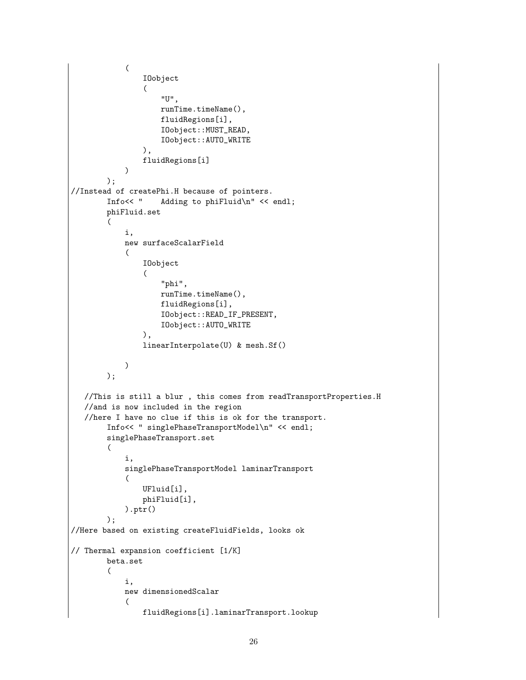```
(
                IOobject
                (
                    "U",
                    runTime.timeName(),
                    fluidRegions[i],
                    IOobject::MUST_READ,
                    IOobject::AUTO_WRITE
                ),
                fluidRegions[i]
            \lambda);
//Instead of createPhi.H because of pointers.
        Info<< " Adding to phiFluid\n" << endl;
        phiFluid.set
        (
            i,
            new surfaceScalarField
            (
                IOobject
                (
                    "phi",
                    runTime.timeName(),
                    fluidRegions[i],
                    IOobject::READ_IF_PRESENT,
                    IOobject::AUTO_WRITE
                ),
                linearInterpolate(U) & mesh.Sf()
            )
        );
   //This is still a blur , this comes from readTransportProperties.H
   //and is now included in the region
   //here I have no clue if this is ok for the transport.
        Info<< " singlePhaseTransportModel\n" << endl;
        singlePhaseTransport.set
        (
            i,
            singlePhaseTransportModel laminarTransport
            (
                UFluid[i],
                phiFluid[i],
            ).ptr()
        );
//Here based on existing createFluidFields, looks ok
// Thermal expansion coefficient [1/K]
       beta.set
        (
            i,
            new dimensionedScalar
            (
                fluidRegions[i].laminarTransport.lookup
```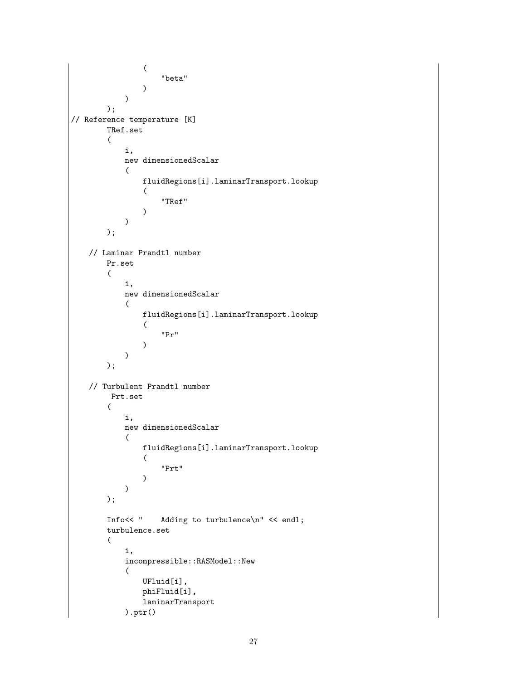```
(
                     "beta"
                 )
            )
        );
// Reference temperature [K]
        TRef.set
        (
            i,
            new dimensionedScalar
            (
                fluidRegions[i].laminarTransport.lookup
                 \overline{C}"TRef"
                \lambda)
        );
    // Laminar Prandtl number
        Pr.set
        \left(i,
            new dimensionedScalar
            (
                fluidRegions[i].laminarTransport.lookup
                 (
                     "Pr"
                 )
            )
        );
    // Turbulent Prandtl number
         Prt.set
        (
            i,
            new dimensionedScalar
            (
                fluidRegions[i].laminarTransport.lookup
                 (
                     "Prt"
                )
            )
        );
        Info<< " Adding to turbulence\n" << endl;
        turbulence.set
        (
            i,
            incompressible::RASModel::New
             (
                UFluid[i],
                phiFluid[i],
                laminarTransport
            ).ptr()
```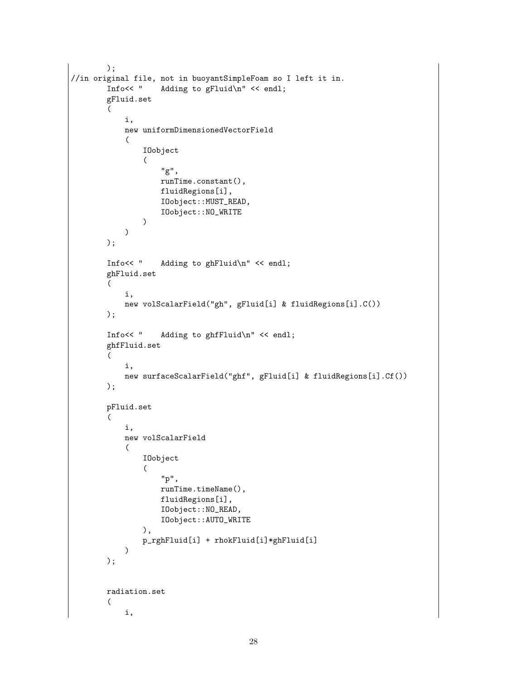```
);
//in original file, not in buoyantSimpleFoam so I left it in.
        Info<< " Adding to gFluid\n" << endl;
        gFluid.set
        (
            i,
            new uniformDimensionedVectorField
            (
                IOobject
                \overline{(\ }"g",
                    runTime.constant(),
                    fluidRegions[i],
                    IOobject::MUST_READ,
                    IOobject::NO_WRITE
                )
            \mathcal{L});
        Info<< " Adding to ghFluid\n" << endl;
        ghFluid.set
        (
            i,
            new volScalarField("gh", gFluid[i] & fluidRegions[i].C())
        );
        Info<< " Adding to ghfFluid\n" << endl;
        ghfFluid.set
        (
            i,
            new surfaceScalarField("ghf", gFluid[i] & fluidRegions[i].Cf())
        );
        pFluid.set
        (
            i,
            new volScalarField
            (
                IOobject
                (
                    "p",
                    runTime.timeName(),
                    fluidRegions[i],
                    IOobject::NO_READ,
                    IOobject::AUTO_WRITE
                ),
                p_rghFluid[i] + rhokFluid[i]*ghFluid[i]
            )
        );
        radiation.set
        (
            i,
```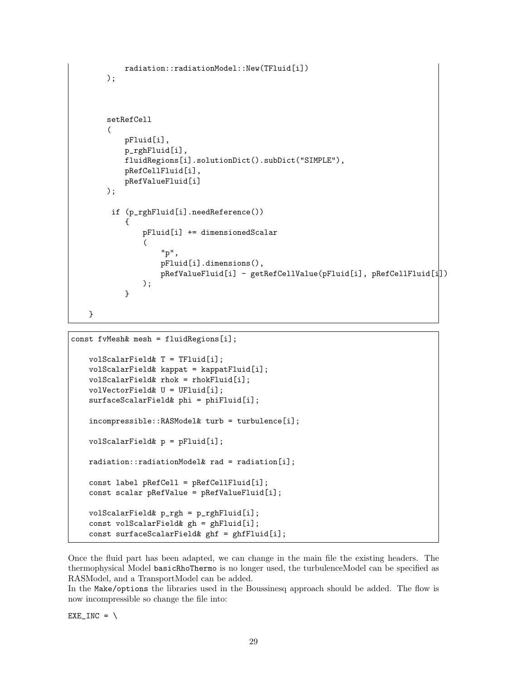```
radiation::radiationModel::New(TFluid[i])
    );
    setRefCell
    (
        pFluid[i],
        p_rghFluid[i],
        fluidRegions[i].solutionDict().subDict("SIMPLE"),
        pRefCellFluid[i],
        pRefValueFluid[i]
    );
     if (p_rghFluid[i].needReference())
        {
            pFluid[i] += dimensionedScalar
            (
                "p",
                pFluid[i].dimensions(),
                pRefValueFluid[i] - getRefCellValue(pFluid[i], pRefCellFluid[i])
            );
        }
}
```

```
const fvMesh& mesh = fluidRegions[i];
   volScalarField& T = TFluid[i];
    volScalarField& kappat = kappatFluid[i];
    volScalarField& rhok = rhokFluid[i];
    volVectorField& U = UFluid[i];
    surfaceScalarField& phi = phiFluid[i];
    incompressible::RASModel& turb = turbulence[i];
    volScalarField& p = pFluid[i];
    radiation::radiationModel& rad = radiation[i];
    const label pRefCell = pRefCellFluid[i];
    const scalar pRefValue = pRefValueFluid[i];
    volScalarField& p_rgh = p_rghFluid[i];
    const volScalarField& gh = ghFluid[i];
    const surfaceScalarField& ghf = ghfFluid[i];
```
Once the fluid part has been adapted, we can change in the main file the existing headers. The thermophysical Model basicRhoThermo is no longer used, the turbulenceModel can be specified as RASModel, and a TransportModel can be added.

In the Make/options the libraries used in the Boussinesq approach should be added. The flow is now incompressible so change the file into:

 $EXE_$ INC = \